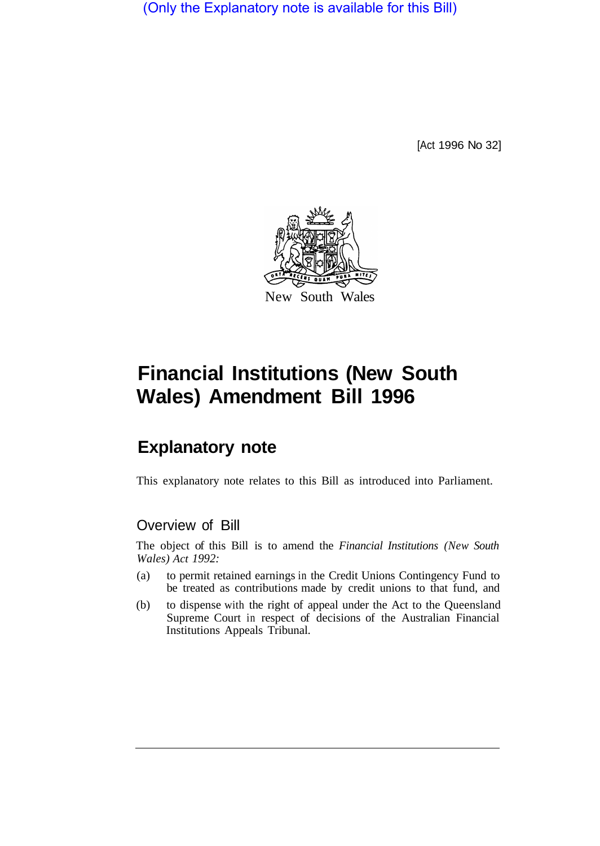(Only the Explanatory note is available for this Bill)

[Act 1996 No 32]



## **Financial Institutions (New South Wales) Amendment Bill 1996**

## **Explanatory note**

This explanatory note relates to this Bill as introduced into Parliament.

## Overview of Bill

The object of this Bill is to amend the *Financial Institutions (New South Wales) Act 1992:* 

- (a) to permit retained earnings in the Credit Unions Contingency Fund to be treated as contributions made by credit unions to that fund, and
- (b) to dispense with the right of appeal under the Act to the Queensland Supreme Court in respect of decisions of the Australian Financial Institutions Appeals Tribunal.